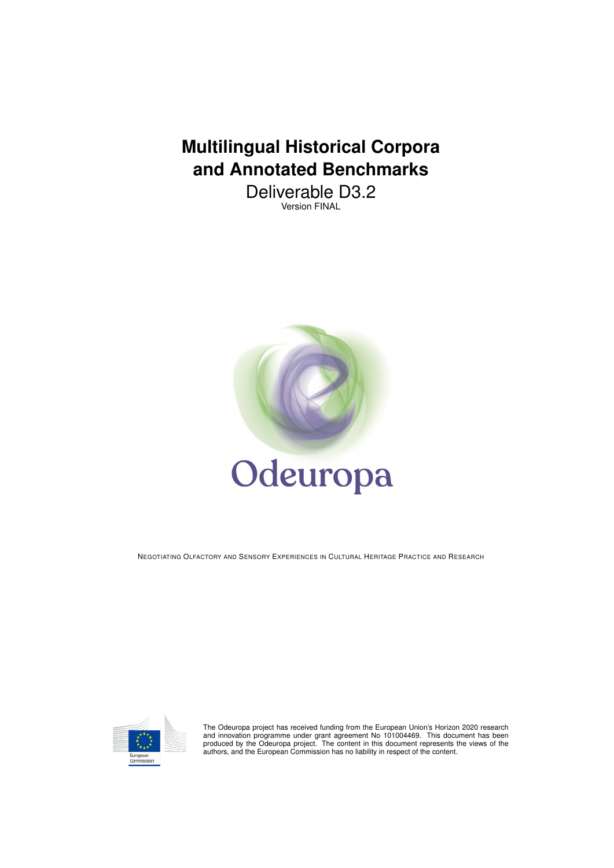# **Multilingual Historical Corpora and Annotated Benchmarks**

Deliverable D3.2 Version FINAL



NEGOTIATING OLFACTORY AND SENSORY EXPERIENCES IN CULTURAL HERITAGE PRACTICE AND RESEARCH



The Odeuropa project has received funding from the European Union's Horizon 2020 research<br>and innovation programme under grant agreement No 101004469. This document has been<br>produced by the Odeuropa project. The content in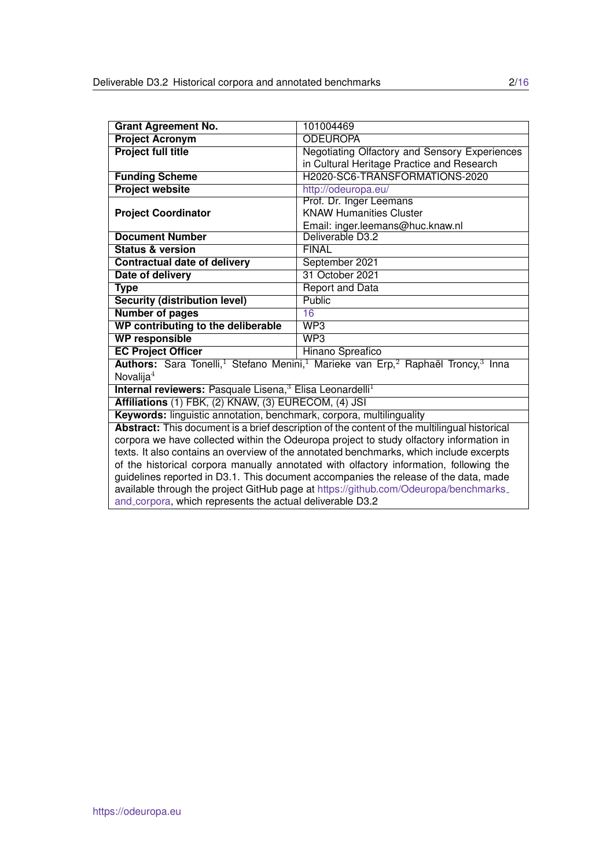| <b>Grant Agreement No.</b>                                                                   | 101004469                                                                                                                        |  |  |  |  |  |
|----------------------------------------------------------------------------------------------|----------------------------------------------------------------------------------------------------------------------------------|--|--|--|--|--|
| <b>Project Acronym</b>                                                                       | <b>ODEUROPA</b>                                                                                                                  |  |  |  |  |  |
| <b>Project full title</b>                                                                    | Negotiating Olfactory and Sensory Experiences<br>in Cultural Heritage Practice and Research                                      |  |  |  |  |  |
| <b>Funding Scheme</b>                                                                        | H2020-SC6-TRANSFORMATIONS-2020                                                                                                   |  |  |  |  |  |
| <b>Project website</b>                                                                       | http://odeuropa.eu/                                                                                                              |  |  |  |  |  |
|                                                                                              | Prof. Dr. Inger Leemans                                                                                                          |  |  |  |  |  |
| <b>Project Coordinator</b>                                                                   | <b>KNAW Humanities Cluster</b>                                                                                                   |  |  |  |  |  |
|                                                                                              | Email: inger.leemans@huc.knaw.nl                                                                                                 |  |  |  |  |  |
| <b>Document Number</b>                                                                       | Deliverable D3.2                                                                                                                 |  |  |  |  |  |
| <b>Status &amp; version</b>                                                                  | <b>FINAL</b>                                                                                                                     |  |  |  |  |  |
| <b>Contractual date of delivery</b>                                                          | September 2021                                                                                                                   |  |  |  |  |  |
| Date of delivery                                                                             | 31 October 2021                                                                                                                  |  |  |  |  |  |
| <b>Type</b>                                                                                  | <b>Report and Data</b>                                                                                                           |  |  |  |  |  |
| <b>Security (distribution level)</b>                                                         | Public                                                                                                                           |  |  |  |  |  |
| <b>Number of pages</b>                                                                       | 16                                                                                                                               |  |  |  |  |  |
| WP contributing to the deliberable                                                           | WP3                                                                                                                              |  |  |  |  |  |
| <b>WP responsible</b>                                                                        | WP3                                                                                                                              |  |  |  |  |  |
| <b>EC Project Officer</b>                                                                    | Hinano Spreafico                                                                                                                 |  |  |  |  |  |
|                                                                                              | Authors: Sara Tonelli, <sup>1</sup> Stefano Menini, <sup>1</sup> Marieke van Erp, <sup>2</sup> Raphaël Troncy, <sup>3</sup> Inna |  |  |  |  |  |
| Novalija $4$                                                                                 |                                                                                                                                  |  |  |  |  |  |
| Internal reviewers: Pasquale Lisena, <sup>3</sup> Elisa Leonardelli <sup>1</sup>             |                                                                                                                                  |  |  |  |  |  |
| Affiliations (1) FBK, (2) KNAW, (3) EURECOM, (4) JSI                                         |                                                                                                                                  |  |  |  |  |  |
| Keywords: linguistic annotation, benchmark, corpora, multilinguality                         |                                                                                                                                  |  |  |  |  |  |
| Abstract: This document is a brief description of the content of the multilingual historical |                                                                                                                                  |  |  |  |  |  |
| corpora we have collected within the Odeuropa project to study olfactory information in      |                                                                                                                                  |  |  |  |  |  |
| texts. It also contains an overview of the annotated benchmarks, which include excerpts      |                                                                                                                                  |  |  |  |  |  |
| of the historical corpora manually annotated with olfactory information, following the       |                                                                                                                                  |  |  |  |  |  |
| guidelines reported in D3.1. This document accompanies the release of the data, made         |                                                                                                                                  |  |  |  |  |  |
| available through the project GitHub page at https://github.com/Odeuropa/benchmarks_         |                                                                                                                                  |  |  |  |  |  |
| and corpora, which represents the actual deliverable D3.2                                    |                                                                                                                                  |  |  |  |  |  |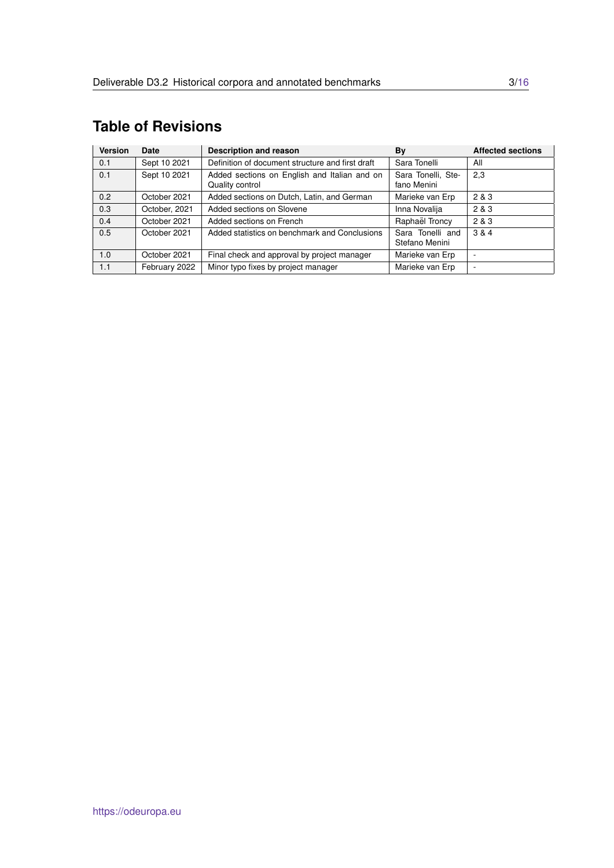## <span id="page-2-0"></span>**Table of Revisions**

| <b>Version</b> | Date          | Description and reason                                          | By                                 | <b>Affected sections</b> |
|----------------|---------------|-----------------------------------------------------------------|------------------------------------|--------------------------|
| 0.1            | Sept 10 2021  | Definition of document structure and first draft                | Sara Tonelli                       | All                      |
| 0.1            | Sept 10 2021  | Added sections on English and Italian and on<br>Quality control | Sara Tonelli, Ste-<br>fano Menini  | 2,3                      |
| 0.2            | October 2021  | Added sections on Dutch, Latin, and German<br>Marieke van Erp   |                                    | 2 & 3                    |
| 0.3            | October, 2021 | Added sections on Slovene                                       | Inna Novalija                      | 2 & 3                    |
| 0.4            | October 2021  | Added sections on French                                        | Raphaël Troncy                     | 2 & 3                    |
| 0.5            | October 2021  | Added statistics on benchmark and Conclusions                   | Sara Tonelli and<br>Stefano Menini | 3 & 4                    |
| 1.0            | October 2021  | Final check and approval by project manager                     | Marieke van Erp                    | ۰                        |
| 1.1            | February 2022 | Minor typo fixes by project manager                             | Marieke van Erp                    | ۰                        |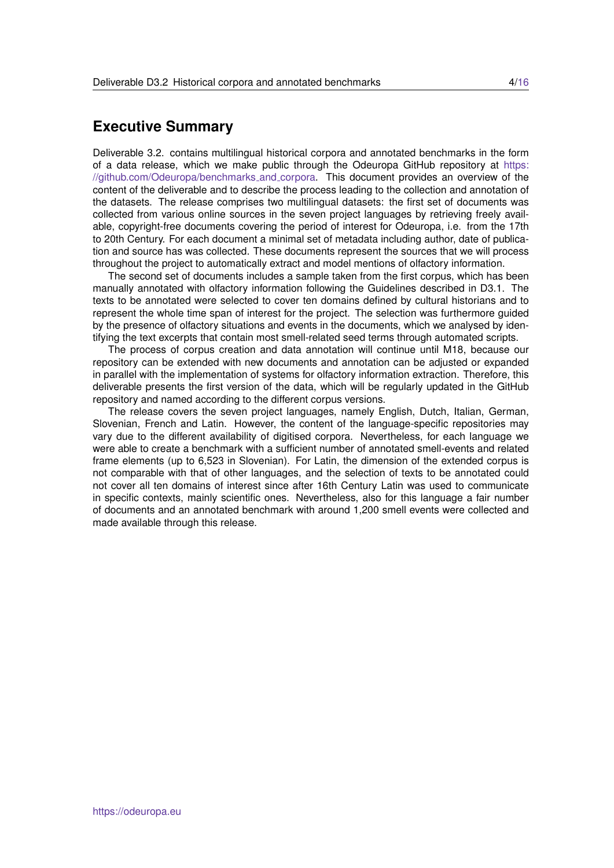## **Executive Summary**

Deliverable 3.2. contains multilingual historical corpora and annotated benchmarks in the form of a data release, which we make public through the Odeuropa GitHub repository at [https:](https://github.com/Odeuropa/benchmarks_and_corpora) [//github.com/Odeuropa/benchmarks](https://github.com/Odeuropa/benchmarks_and_corpora) and corpora. This document provides an overview of the content of the deliverable and to describe the process leading to the collection and annotation of the datasets. The release comprises two multilingual datasets: the first set of documents was collected from various online sources in the seven project languages by retrieving freely available, copyright-free documents covering the period of interest for Odeuropa, i.e. from the 17th to 20th Century. For each document a minimal set of metadata including author, date of publication and source has was collected. These documents represent the sources that we will process throughout the project to automatically extract and model mentions of olfactory information.

The second set of documents includes a sample taken from the first corpus, which has been manually annotated with olfactory information following the Guidelines described in D3.1. The texts to be annotated were selected to cover ten domains defined by cultural historians and to represent the whole time span of interest for the project. The selection was furthermore guided by the presence of olfactory situations and events in the documents, which we analysed by identifying the text excerpts that contain most smell-related seed terms through automated scripts.

The process of corpus creation and data annotation will continue until M18, because our repository can be extended with new documents and annotation can be adjusted or expanded in parallel with the implementation of systems for olfactory information extraction. Therefore, this deliverable presents the first version of the data, which will be regularly updated in the GitHub repository and named according to the different corpus versions.

The release covers the seven project languages, namely English, Dutch, Italian, German, Slovenian, French and Latin. However, the content of the language-specific repositories may vary due to the different availability of digitised corpora. Nevertheless, for each language we were able to create a benchmark with a sufficient number of annotated smell-events and related frame elements (up to 6,523 in Slovenian). For Latin, the dimension of the extended corpus is not comparable with that of other languages, and the selection of texts to be annotated could not cover all ten domains of interest since after 16th Century Latin was used to communicate in specific contexts, mainly scientific ones. Nevertheless, also for this language a fair number of documents and an annotated benchmark with around 1,200 smell events were collected and made available through this release.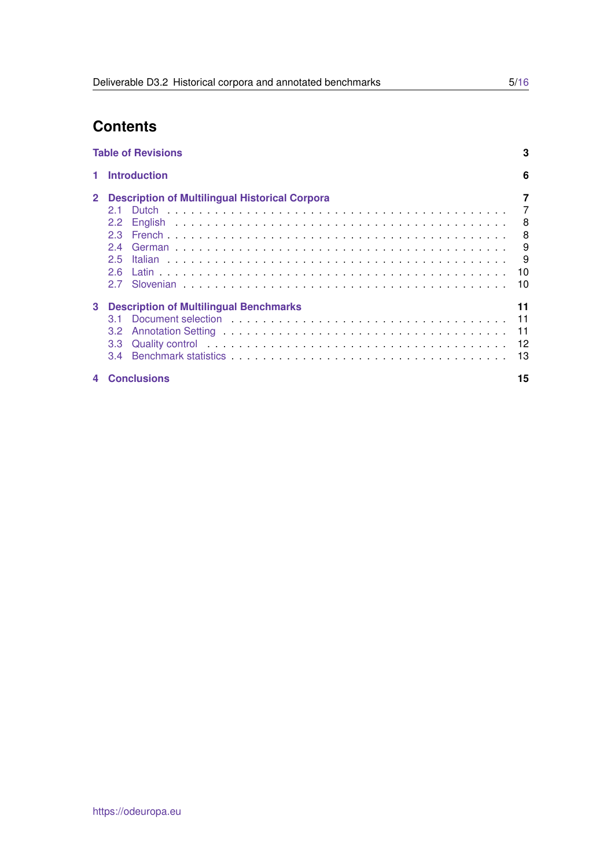## **Contents**

|                | <b>Table of Revisions</b>                                                                                                                                                                                                                                                                           | 3                                        |
|----------------|-----------------------------------------------------------------------------------------------------------------------------------------------------------------------------------------------------------------------------------------------------------------------------------------------------|------------------------------------------|
| 1              | <b>Introduction</b>                                                                                                                                                                                                                                                                                 | 6                                        |
| $\mathbf{2}^-$ | <b>Description of Multilingual Historical Corpora</b><br>21<br>$2.2^{\circ}$<br>23<br>24<br>2.5<br>26                                                                                                                                                                                               | 7<br>7<br>8<br>8<br>9<br>- 9<br>10<br>10 |
| 3              | <b>Description of Multilingual Benchmarks</b><br>Quality control is a series and series and series and series are series and series are series and series are series and series are series and series are series and series are series and series are series and series are ser<br>3.3 <sub>2</sub> | 11<br>11<br>11<br>13                     |
| 4              | <b>Conclusions</b>                                                                                                                                                                                                                                                                                  | 15                                       |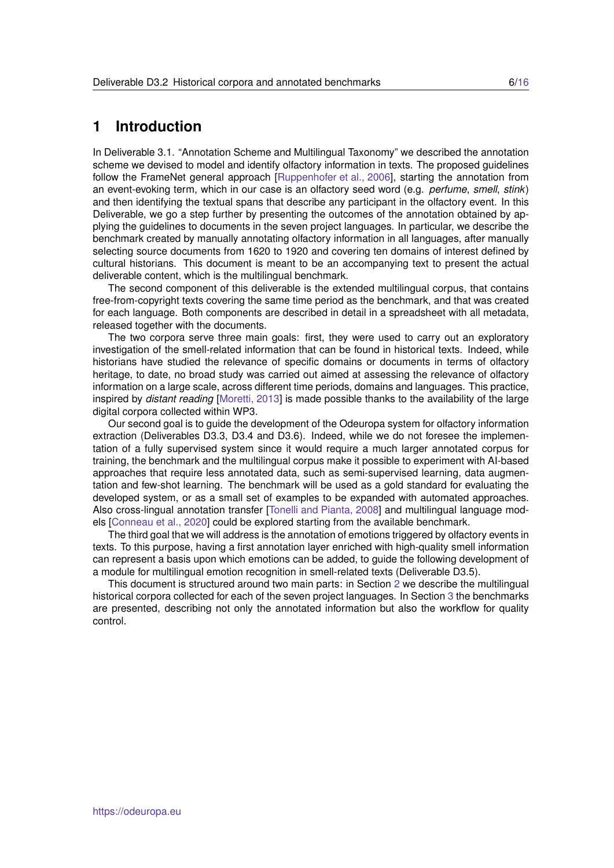## <span id="page-5-0"></span>**1 Introduction**

In Deliverable 3.1. "Annotation Scheme and Multilingual Taxonomy" we described the annotation scheme we devised to model and identify olfactory information in texts. The proposed guidelines follow the FrameNet general approach [\[Ruppenhofer et al., 2006\]](#page-15-1), starting the annotation from an event-evoking term, which in our case is an olfactory seed word (e.g. *perfume*, *smell*, *stink*) and then identifying the textual spans that describe any participant in the olfactory event. In this Deliverable, we go a step further by presenting the outcomes of the annotation obtained by applying the guidelines to documents in the seven project languages. In particular, we describe the benchmark created by manually annotating olfactory information in all languages, after manually selecting source documents from 1620 to 1920 and covering ten domains of interest defined by cultural historians. This document is meant to be an accompanying text to present the actual deliverable content, which is the multilingual benchmark.

The second component of this deliverable is the extended multilingual corpus, that contains free-from-copyright texts covering the same time period as the benchmark, and that was created for each language. Both components are described in detail in a spreadsheet with all metadata, released together with the documents.

The two corpora serve three main goals: first, they were used to carry out an exploratory investigation of the smell-related information that can be found in historical texts. Indeed, while historians have studied the relevance of specific domains or documents in terms of olfactory heritage, to date, no broad study was carried out aimed at assessing the relevance of olfactory information on a large scale, across different time periods, domains and languages. This practice, inspired by *distant reading* [\[Moretti, 2013\]](#page-15-2) is made possible thanks to the availability of the large digital corpora collected within WP3.

Our second goal is to guide the development of the Odeuropa system for olfactory information extraction (Deliverables D3.3, D3.4 and D3.6). Indeed, while we do not foresee the implementation of a fully supervised system since it would require a much larger annotated corpus for training, the benchmark and the multilingual corpus make it possible to experiment with AI-based approaches that require less annotated data, such as semi-supervised learning, data augmentation and few-shot learning. The benchmark will be used as a gold standard for evaluating the developed system, or as a small set of examples to be expanded with automated approaches. Also cross-lingual annotation transfer [\[Tonelli and Pianta, 2008\]](#page-15-3) and multilingual language models [\[Conneau et al., 2020\]](#page-15-4) could be explored starting from the available benchmark.

The third goal that we will address is the annotation of emotions triggered by olfactory events in texts. To this purpose, having a first annotation layer enriched with high-quality smell information can represent a basis upon which emotions can be added, to guide the following development of a module for multilingual emotion recognition in smell-related texts (Deliverable D3.5).

This document is structured around two main parts: in Section [2](#page-6-0) we describe the multilingual historical corpora collected for each of the seven project languages. In Section [3](#page-10-0) the benchmarks are presented, describing not only the annotated information but also the workflow for quality control.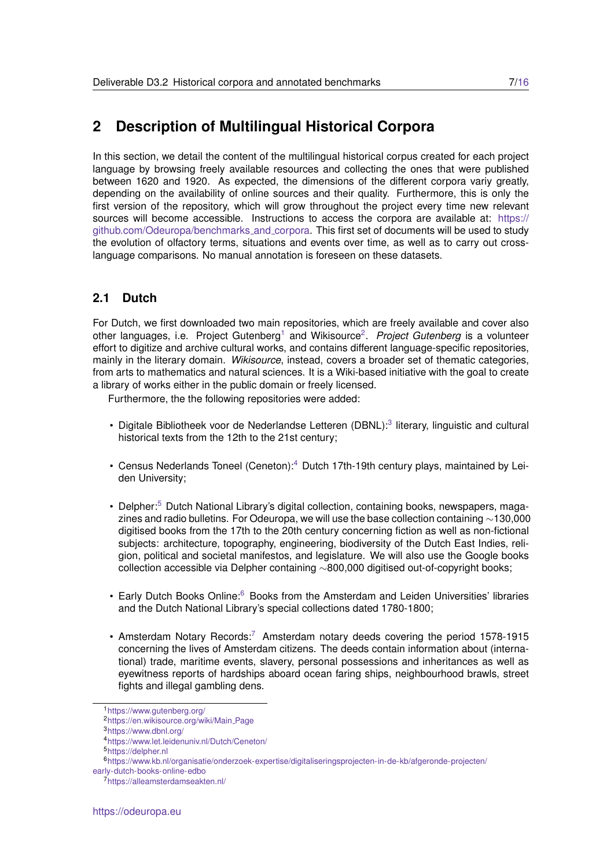## <span id="page-6-0"></span>**2 Description of Multilingual Historical Corpora**

In this section, we detail the content of the multilingual historical corpus created for each project language by browsing freely available resources and collecting the ones that were published between 1620 and 1920. As expected, the dimensions of the different corpora variy greatly, depending on the availability of online sources and their quality. Furthermore, this is only the first version of the repository, which will grow throughout the project every time new relevant sources will become accessible. Instructions to access the corpora are available at: [https://](https://github.com/Odeuropa/benchmarks_and_corpora) [github.com/Odeuropa/benchmarks](https://github.com/Odeuropa/benchmarks_and_corpora) and corpora. This first set of documents will be used to study the evolution of olfactory terms, situations and events over time, as well as to carry out crosslanguage comparisons. No manual annotation is foreseen on these datasets.

## <span id="page-6-1"></span>**2.1 Dutch**

For Dutch, we first downloaded two main repositories, which are freely available and cover also other languages, i.e. Project Gutenberg<sup>[1](#page-6-2)</sup> and Wikisource<sup>[2](#page-6-3)</sup>. Project Gutenberg is a volunteer effort to digitize and archive cultural works, and contains different language-specific repositories, mainly in the literary domain. *Wikisource*, instead, covers a broader set of thematic categories, from arts to mathematics and natural sciences. It is a Wiki-based initiative with the goal to create a library of works either in the public domain or freely licensed.

Furthermore, the the following repositories were added:

- Digitale Bibliotheek voor de Nederlandse Letteren (DBNL):<sup>[3](#page-6-4)</sup> literary, linguistic and cultural historical texts from the 12th to the 21st century;
- Census Nederlands Toneel (Ceneton):<sup>[4](#page-6-5)</sup> Dutch 17th-19th century plays, maintained by Leiden University;
- Delpher:<sup>[5](#page-6-6)</sup> Dutch National Library's digital collection, containing books, newspapers, magazines and radio bulletins. For Odeuropa, we will use the base collection containing ∼130,000 digitised books from the 17th to the 20th century concerning fiction as well as non-fictional subjects: architecture, topography, engineering, biodiversity of the Dutch East Indies, religion, political and societal manifestos, and legislature. We will also use the Google books collection accessible via Delpher containing ∼800,000 digitised out-of-copyright books;
- Early Dutch Books Online:<sup>[6](#page-6-7)</sup> Books from the Amsterdam and Leiden Universities' libraries and the Dutch National Library's special collections dated 1780-1800;
- Amsterdam Notary Records:<sup>[7](#page-6-8)</sup> Amsterdam notary deeds covering the period 1578-1915 concerning the lives of Amsterdam citizens. The deeds contain information about (international) trade, maritime events, slavery, personal possessions and inheritances as well as eyewitness reports of hardships aboard ocean faring ships, neighbourhood brawls, street fights and illegal gambling dens.

<span id="page-6-2"></span><sup>1</sup><https://www.gutenberg.org/>

<span id="page-6-3"></span><sup>2</sup>[https://en.wikisource.org/wiki/Main](https://en.wikisource.org/wiki/Main_Page) Page

<span id="page-6-4"></span><sup>3</sup><https://www.dbnl.org/>

<span id="page-6-5"></span><sup>4</sup><https://www.let.leidenuniv.nl/Dutch/Ceneton/>

<span id="page-6-7"></span><span id="page-6-6"></span><sup>5</sup><https://delpher.nl>

<sup>6</sup>[https://www.kb.nl/organisatie/onderzoek-expertise/digitaliseringsprojecten-in-de-kb/afgeronde-projecten/](https://www.kb.nl/organisatie/onderzoek-expertise/digitaliseringsprojecten-in-de-kb/afgeronde-projecten/early-dutch-books-online-edbo)

[early-dutch-books-online-edbo](https://www.kb.nl/organisatie/onderzoek-expertise/digitaliseringsprojecten-in-de-kb/afgeronde-projecten/early-dutch-books-online-edbo)

<span id="page-6-8"></span><sup>7</sup><https://alleamsterdamseakten.nl/>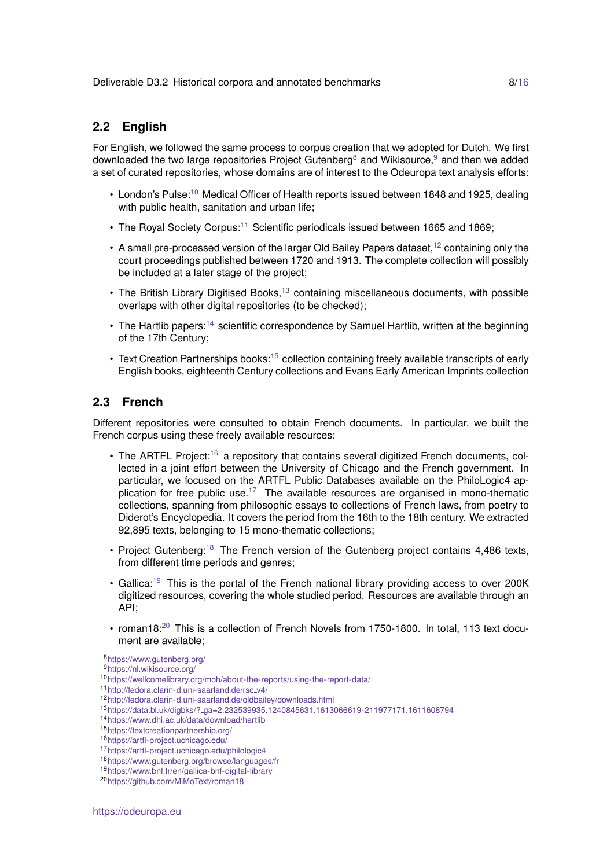## <span id="page-7-0"></span>**2.2 English**

For English, we followed the same process to corpus creation that we adopted for Dutch. We first downloaded the two large repositories Project Gutenberg<sup>[8](#page-7-2)</sup> and Wikisource,  $9$  and then we added a set of curated repositories, whose domains are of interest to the Odeuropa text analysis efforts:

- London's Pulse:<sup>[10](#page-7-4)</sup> Medical Officer of Health reports issued between 1848 and 1925, dealing with public health, sanitation and urban life;
- The Royal Society Corpus:<sup>[11](#page-7-5)</sup> Scientific periodicals issued between 1665 and 1869;
- A small pre-processed version of the larger Old Bailey Papers dataset,  $12$  containing only the court proceedings published between 1720 and 1913. The complete collection will possibly be included at a later stage of the project;
- The British Library Digitised Books,<sup>[13](#page-7-7)</sup> containing miscellaneous documents, with possible overlaps with other digital repositories (to be checked);
- The Hartlib papers:<sup>[14](#page-7-8)</sup> scientific correspondence by Samuel Hartlib, written at the beginning of the 17th Century;
- Text Creation Partnerships books:<sup>[15](#page-7-9)</sup> collection containing freely available transcripts of early English books, eighteenth Century collections and Evans Early American Imprints collection

### <span id="page-7-1"></span>**2.3 French**

Different repositories were consulted to obtain French documents. In particular, we built the French corpus using these freely available resources:

- The ARTFL Project:<sup>[16](#page-7-10)</sup> a repository that contains several digitized French documents, collected in a joint effort between the University of Chicago and the French government. In particular, we focused on the ARTFL Public Databases available on the PhiloLogic4 ap-plication for free public use.<sup>[17](#page-7-11)</sup> The available resources are organised in mono-thematic collections, spanning from philosophic essays to collections of French laws, from poetry to Diderot's Encyclopedia. It covers the period from the 16th to the 18th century. We extracted 92,895 texts, belonging to 15 mono-thematic collections;
- Project Gutenberg:<sup>[18](#page-7-12)</sup> The French version of the Gutenberg project contains 4,486 texts, from different time periods and genres;
- Gallica:<sup>[19](#page-7-13)</sup> This is the portal of the French national library providing access to over 200K digitized resources, covering the whole studied period. Resources are available through an API;
- roman18:<sup>[20](#page-7-14)</sup> This is a collection of French Novels from 1750-1800. In total, 113 text document are available;

<span id="page-7-2"></span><sup>8</sup><https://www.gutenberg.org/>

<span id="page-7-3"></span><sup>9</sup><https://nl.wikisource.org/>

<span id="page-7-4"></span><sup>10</sup><https://wellcomelibrary.org/moh/about-the-reports/using-the-report-data/>

<span id="page-7-5"></span><sup>11</sup>[http://fedora.clarin-d.uni-saarland.de/rsc](http://fedora.clarin-d.uni-saarland.de/rsc_v4/) v4/

<span id="page-7-6"></span><sup>12</sup><http://fedora.clarin-d.uni-saarland.de/oldbailey/downloads.html>

<span id="page-7-7"></span><sup>13</sup>https://data.bl.uk/digbks/? [ga=2.232539935.1240845631.1613066619-211977171.1611608794](https://data.bl.uk/digbks/?_ga=2.232539935.1240845631.1613066619-211977171.1611608794)

<span id="page-7-8"></span><sup>14</sup><https://www.dhi.ac.uk/data/download/hartlib>

<span id="page-7-9"></span><sup>15</sup><https://textcreationpartnership.org/>

<span id="page-7-10"></span><sup>16</sup><https://artfl-project.uchicago.edu/>

<span id="page-7-11"></span><sup>17</sup><https://artfl-project.uchicago.edu/philologic4>

<span id="page-7-12"></span><sup>18</sup><https://www.gutenberg.org/browse/languages/fr>

<span id="page-7-13"></span><sup>19</sup><https://www.bnf.fr/en/gallica-bnf-digital-library>

<span id="page-7-14"></span><sup>20</sup><https://github.com/MiMoText/roman18>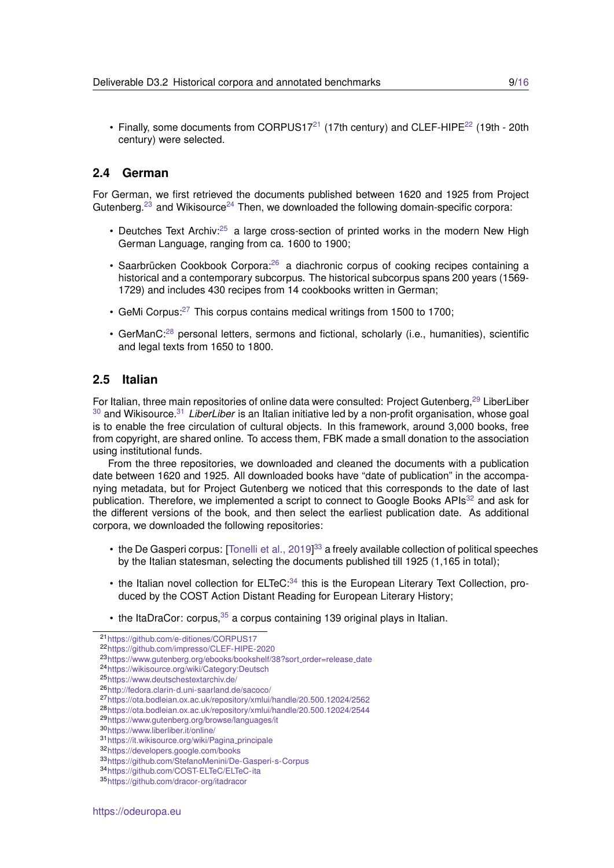• Finally, some documents from CORPUS17<sup>[21](#page-8-2)</sup> (17th century) and CLEF-HIPE<sup>[22](#page-8-3)</sup> (19th - 20th century) were selected.

#### <span id="page-8-0"></span>**2.4 German**

For German, we first retrieved the documents published between 1620 and 1925 from Project Gutenberg.<sup>[23](#page-8-4)</sup> and Wikisource<sup>[24](#page-8-5)</sup> Then, we downloaded the following domain-specific corpora:

- Deutches Text Archiv:<sup>[25](#page-8-6)</sup> a large cross-section of printed works in the modern New High German Language, ranging from ca. 1600 to 1900;
- Saarbrücken Cookbook Corpora:<sup>[26](#page-8-7)</sup> a diachronic corpus of cooking recipes containing a historical and a contemporary subcorpus. The historical subcorpus spans 200 years (1569- 1729) and includes 430 recipes from 14 cookbooks written in German;
- GeMi Corpus:[27](#page-8-8) This corpus contains medical writings from 1500 to 1700;
- GerManC:<sup>[28](#page-8-9)</sup> personal letters, sermons and fictional, scholarly (i.e., humanities), scientific and legal texts from 1650 to 1800.

#### <span id="page-8-1"></span>**2.5 Italian**

For Italian, three main repositories of online data were consulted: Project Gutenberg, <sup>[29](#page-8-10)</sup> LiberLiber [30](#page-8-11) and Wikisource.[31](#page-8-12) *LiberLiber* is an Italian initiative led by a non-profit organisation, whose goal is to enable the free circulation of cultural objects. In this framework, around 3,000 books, free from copyright, are shared online. To access them, FBK made a small donation to the association using institutional funds.

From the three repositories, we downloaded and cleaned the documents with a publication date between 1620 and 1925. All downloaded books have "date of publication" in the accompanying metadata, but for Project Gutenberg we noticed that this corresponds to the date of last publication. Therefore, we implemented a script to connect to Google Books  $APIs^{32}$  $APIs^{32}$  $APIs^{32}$  and ask for the different versions of the book, and then select the earliest publication date. As additional corpora, we downloaded the following repositories:

- the De Gasperi corpus: [\[Tonelli et al., 2019\]](#page-15-5) $^{33}$  $^{33}$  $^{33}$  a freely available collection of political speeches by the Italian statesman, selecting the documents published till 1925 (1,165 in total);
- $\cdot$  the Italian novel collection for ELTeC:  $34$  this is the European Literary Text Collection, produced by the COST Action Distant Reading for European Literary History;
- the ItaDraCor: corpus,  $35$  a corpus containing 139 original plays in Italian.

<span id="page-8-2"></span><sup>21</sup><https://github.com/e-ditiones/CORPUS17>

<span id="page-8-3"></span><sup>22</sup><https://github.com/impresso/CLEF-HIPE-2020>

<span id="page-8-4"></span><sup>23</sup>[https://www.gutenberg.org/ebooks/bookshelf/38?sort](https://www.gutenberg.org/ebooks/bookshelf/38?sort_order=release_date) order=release date

<span id="page-8-5"></span><sup>24</sup><https://wikisource.org/wiki/Category:Deutsch>

<span id="page-8-6"></span><sup>25</sup><https://www.deutschestextarchiv.de/>

<span id="page-8-7"></span><sup>26</sup><http://fedora.clarin-d.uni-saarland.de/sacoco/>

<span id="page-8-8"></span><sup>27</sup><https://ota.bodleian.ox.ac.uk/repository/xmlui/handle/20.500.12024/2562>

<span id="page-8-9"></span><sup>28</sup><https://ota.bodleian.ox.ac.uk/repository/xmlui/handle/20.500.12024/2544>

<span id="page-8-10"></span><sup>29</sup><https://www.gutenberg.org/browse/languages/it>

<span id="page-8-11"></span><sup>30</sup><https://www.liberliber.it/online/>

<span id="page-8-12"></span><sup>31</sup>[https://it.wikisource.org/wiki/Pagina](https://it.wikisource.org/wiki/Pagina_principale) principale

<span id="page-8-13"></span><sup>32</sup><https://developers.google.com/books>

<span id="page-8-14"></span><sup>33</sup><https://github.com/StefanoMenini/De-Gasperi-s-Corpus>

<span id="page-8-15"></span><sup>34</sup><https://github.com/COST-ELTeC/ELTeC-ita>

<span id="page-8-16"></span><sup>35</sup><https://github.com/dracor-org/itadracor>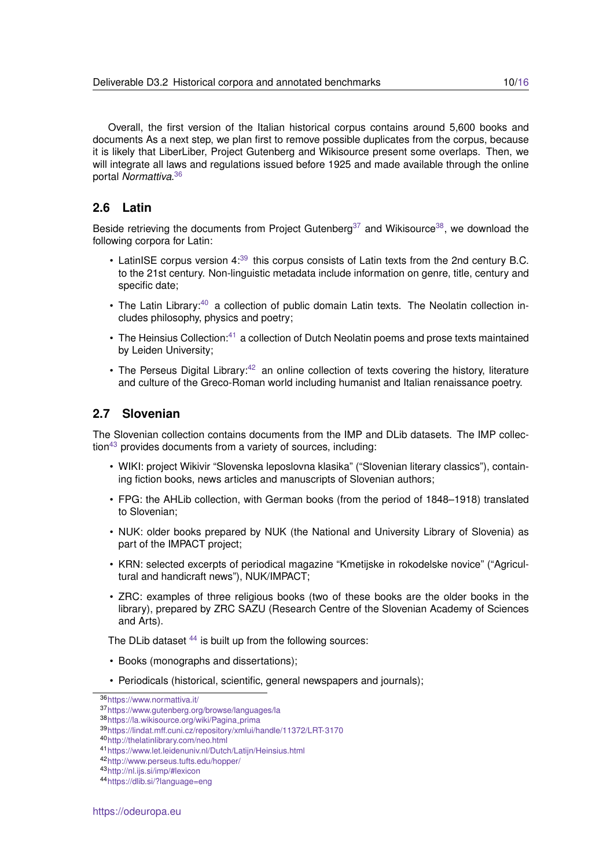Overall, the first version of the Italian historical corpus contains around 5,600 books and documents As a next step, we plan first to remove possible duplicates from the corpus, because it is likely that LiberLiber, Project Gutenberg and Wikisource present some overlaps. Then, we will integrate all laws and regulations issued before 1925 and made available through the online portal *Normattiva*. [36](#page-9-2)

## <span id="page-9-0"></span>**2.6 Latin**

Beside retrieving the documents from Project Gutenberg<sup>[37](#page-9-3)</sup> and Wikisource<sup>[38](#page-9-4)</sup>, we download the following corpora for Latin:

- LatinISE corpus version 4:<sup>[39](#page-9-5)</sup> this corpus consists of Latin texts from the 2nd century B.C. to the 21st century. Non-linguistic metadata include information on genre, title, century and specific date;
- The Latin Library:<sup>[40](#page-9-6)</sup> a collection of public domain Latin texts. The Neolatin collection includes philosophy, physics and poetry;
- The Heinsius Collection: $41$  a collection of Dutch Neolatin poems and prose texts maintained by Leiden University;
- The Perseus Digital Library:<sup>[42](#page-9-8)</sup> an online collection of texts covering the history, literature and culture of the Greco-Roman world including humanist and Italian renaissance poetry.

#### <span id="page-9-1"></span>**2.7 Slovenian**

The Slovenian collection contains documents from the IMP and DLib datasets. The IMP collec- $tion<sup>43</sup>$  $tion<sup>43</sup>$  $tion<sup>43</sup>$  provides documents from a variety of sources, including:

- WIKI: project Wikivir "Slovenska leposlovna klasika" ("Slovenian literary classics"), containing fiction books, news articles and manuscripts of Slovenian authors;
- FPG: the AHLib collection, with German books (from the period of 1848–1918) translated to Slovenian;
- NUK: older books prepared by NUK (the National and University Library of Slovenia) as part of the IMPACT project;
- KRN: selected excerpts of periodical magazine "Kmetijske in rokodelske novice" ("Agricultural and handicraft news"), NUK/IMPACT;
- ZRC: examples of three religious books (two of these books are the older books in the library), prepared by ZRC SAZU (Research Centre of the Slovenian Academy of Sciences and Arts).

The DLib dataset  $44$  is built up from the following sources:

- Books (monographs and dissertations);
- Periodicals (historical, scientific, general newspapers and journals);

<span id="page-9-2"></span><sup>36</sup><https://www.normattiva.it/>

<span id="page-9-3"></span><sup>37</sup><https://www.gutenberg.org/browse/languages/la>

<span id="page-9-4"></span><sup>38</sup>[https://la.wikisource.org/wiki/Pagina](https://la.wikisource.org/wiki/Pagina_prima) prima

<span id="page-9-5"></span><sup>39</sup><https://lindat.mff.cuni.cz/repository/xmlui/handle/11372/LRT-3170>

<span id="page-9-6"></span><sup>40</sup><http://thelatinlibrary.com/neo.html>

<span id="page-9-7"></span><sup>41</sup><https://www.let.leidenuniv.nl/Dutch/Latijn/Heinsius.html>

<span id="page-9-8"></span><sup>42</sup><http://www.perseus.tufts.edu/hopper/>

<span id="page-9-9"></span><sup>43</sup><http://nl.ijs.si/imp/#lexicon>

<span id="page-9-10"></span><sup>44</sup><https://dlib.si/?language=eng>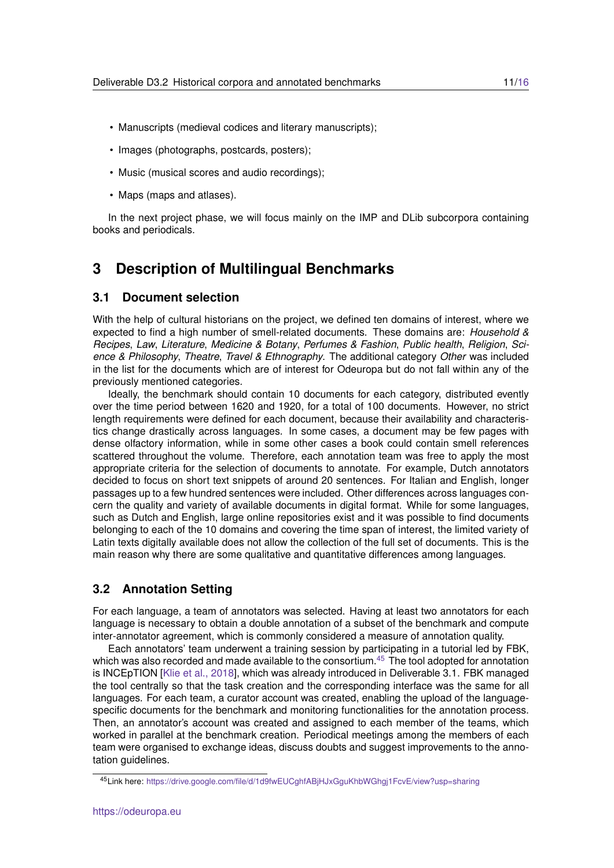- Manuscripts (medieval codices and literary manuscripts);
- Images (photographs, postcards, posters);
- Music (musical scores and audio recordings);
- Maps (maps and atlases).

In the next project phase, we will focus mainly on the IMP and DLib subcorpora containing books and periodicals.

## <span id="page-10-0"></span>**3 Description of Multilingual Benchmarks**

#### <span id="page-10-1"></span>**3.1 Document selection**

With the help of cultural historians on the project, we defined ten domains of interest, where we expected to find a high number of smell-related documents. These domains are: *Household & Recipes*, *Law*, *Literature*, *Medicine & Botany*, *Perfumes & Fashion*, *Public health*, *Religion*, *Science & Philosophy*, *Theatre*, *Travel & Ethnography*. The additional category *Other* was included in the list for the documents which are of interest for Odeuropa but do not fall within any of the previously mentioned categories.

Ideally, the benchmark should contain 10 documents for each category, distributed evently over the time period between 1620 and 1920, for a total of 100 documents. However, no strict length requirements were defined for each document, because their availability and characteristics change drastically across languages. In some cases, a document may be few pages with dense olfactory information, while in some other cases a book could contain smell references scattered throughout the volume. Therefore, each annotation team was free to apply the most appropriate criteria for the selection of documents to annotate. For example, Dutch annotators decided to focus on short text snippets of around 20 sentences. For Italian and English, longer passages up to a few hundred sentences were included. Other differences across languages concern the quality and variety of available documents in digital format. While for some languages, such as Dutch and English, large online repositories exist and it was possible to find documents belonging to each of the 10 domains and covering the time span of interest, the limited variety of Latin texts digitally available does not allow the collection of the full set of documents. This is the main reason why there are some qualitative and quantitative differences among languages.

#### <span id="page-10-2"></span>**3.2 Annotation Setting**

For each language, a team of annotators was selected. Having at least two annotators for each language is necessary to obtain a double annotation of a subset of the benchmark and compute inter-annotator agreement, which is commonly considered a measure of annotation quality.

Each annotators' team underwent a training session by participating in a tutorial led by FBK, which was also recorded and made available to the consortium. $45$  The tool adopted for annotation is INCEpTION [\[Klie et al., 2018\]](#page-15-6), which was already introduced in Deliverable 3.1. FBK managed the tool centrally so that the task creation and the corresponding interface was the same for all languages. For each team, a curator account was created, enabling the upload of the languagespecific documents for the benchmark and monitoring functionalities for the annotation process. Then, an annotator's account was created and assigned to each member of the teams, which worked in parallel at the benchmark creation. Periodical meetings among the members of each team were organised to exchange ideas, discuss doubts and suggest improvements to the annotation guidelines.

<span id="page-10-3"></span><sup>45</sup>Link here: <https://drive.google.com/file/d/1d9fwEUCghfABjHJxGguKhbWGhgj1FcvE/view?usp=sharing>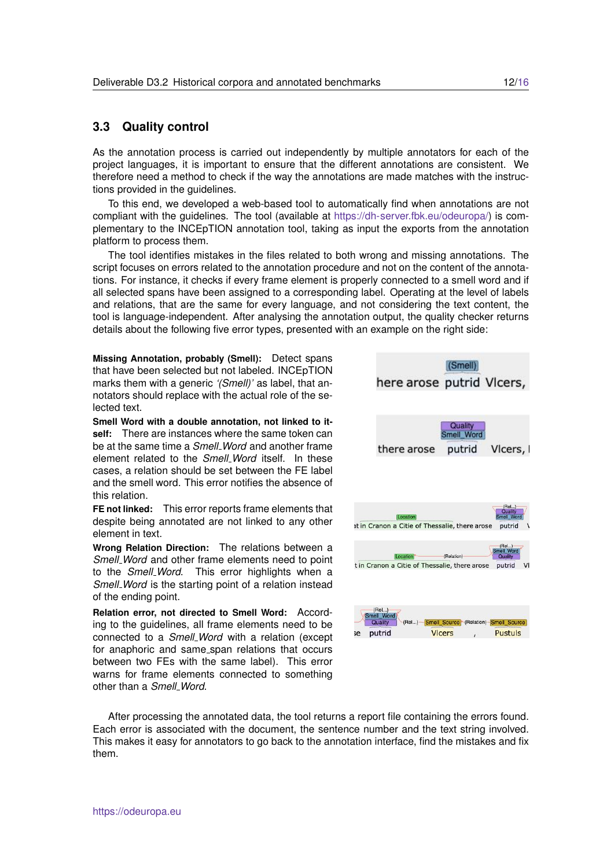#### <span id="page-11-0"></span>**3.3 Quality control**

As the annotation process is carried out independently by multiple annotators for each of the project languages, it is important to ensure that the different annotations are consistent. We therefore need a method to check if the way the annotations are made matches with the instructions provided in the guidelines.

To this end, we developed a web-based tool to automatically find when annotations are not compliant with the guidelines. The tool (available at [https://dh-server.fbk.eu/odeuropa/\)](https://dh-server.fbk.eu/odeuropa/) is complementary to the INCEpTION annotation tool, taking as input the exports from the annotation platform to process them.

The tool identifies mistakes in the files related to both wrong and missing annotations. The script focuses on errors related to the annotation procedure and not on the content of the annotations. For instance, it checks if every frame element is properly connected to a smell word and if all selected spans have been assigned to a corresponding label. Operating at the level of labels and relations, that are the same for every language, and not considering the text content, the tool is language-independent. After analysing the annotation output, the quality checker returns details about the following five error types, presented with an example on the right side:

**Missing Annotation, probably (Smell):** Detect spans that have been selected but not labeled. INCEpTION marks them with a generic *'(Smell)'* as label, that annotators should replace with the actual role of the selected text.

**Smell Word with a double annotation, not linked to itself:** There are instances where the same token can be at the same time a *Smell Word* and another frame element related to the *Smell Word* itself. In these cases, a relation should be set between the FE label and the smell word. This error notifies the absence of this relation.

**FE not linked:** This error reports frame elements that despite being annotated are not linked to any other element in text.

**Wrong Relation Direction:** The relations between a *Smell Word* and other frame elements need to point to the *Smell Word*. This error highlights when a *Smell Word* is the starting point of a relation instead of the ending point.

**Relation error, not directed to Smell Word:** According to the guidelines, all frame elements need to be connected to a *Smell Word* with a relation (except for anaphoric and same span relations that occurs between two FEs with the same label). This error warns for frame elements connected to something other than a *Smell Word*.



After processing the annotated data, the tool returns a report file containing the errors found. Each error is associated with the document, the sentence number and the text string involved. This makes it easy for annotators to go back to the annotation interface, find the mistakes and fix them.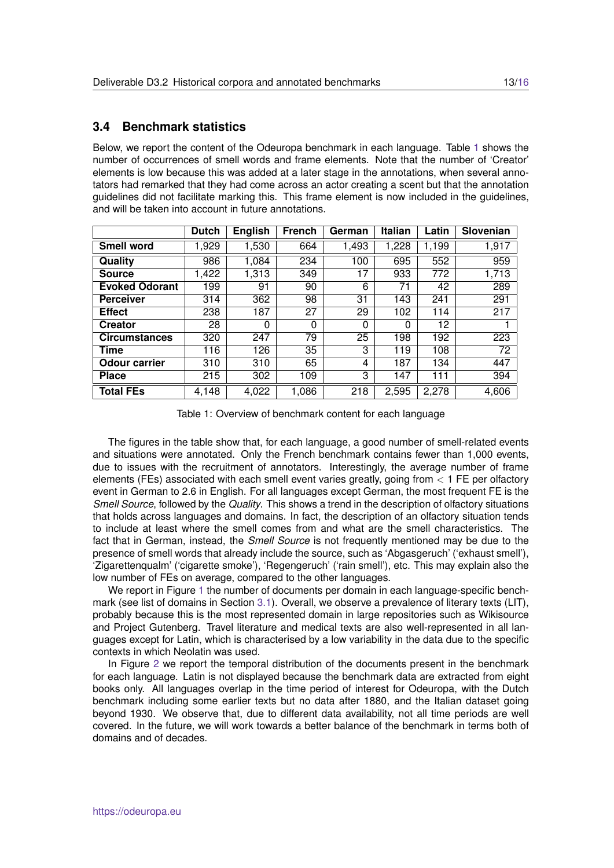### <span id="page-12-0"></span>**3.4 Benchmark statistics**

Below, we report the content of the Odeuropa benchmark in each language. Table [1](#page-12-1) shows the number of occurrences of smell words and frame elements. Note that the number of 'Creator' elements is low because this was added at a later stage in the annotations, when several annotators had remarked that they had come across an actor creating a scent but that the annotation guidelines did not facilitate marking this. This frame element is now included in the guidelines, and will be taken into account in future annotations.

<span id="page-12-1"></span>

|                       | <b>Dutch</b> | <b>English</b> | <b>French</b> | German | <b>Italian</b> | Latin | Slovenian |
|-----------------------|--------------|----------------|---------------|--------|----------------|-------|-----------|
| Smell word            | 1,929        | 1,530          | 664           | 1,493  | 1,228          | 1,199 | 1,917     |
| Quality               | 986          | 1,084          | 234           | 100    | 695            | 552   | 959       |
| <b>Source</b>         | 1,422        | 1,313          | 349           | 17     | 933            | 772   | 1,713     |
| <b>Evoked Odorant</b> | 199          | 91             | 90            | 6      | 71             | 42    | 289       |
| <b>Perceiver</b>      | 314          | 362            | 98            | 31     | 143            | 241   | 291       |
| <b>Effect</b>         | 238          | 187            | 27            | 29     | 102            | 114   | 217       |
| <b>Creator</b>        | 28           | 0              | 0             | 0      | 0              | 12    |           |
| <b>Circumstances</b>  | 320          | 247            | 79            | 25     | 198            | 192   | 223       |
| Time                  | 116          | 126            | 35            | 3      | 119            | 108   | 72        |
| <b>Odour carrier</b>  | 310          | 310            | 65            | 4      | 187            | 134   | 447       |
| <b>Place</b>          | 215          | 302            | 109           | 3      | 147            | 111   | 394       |
| <b>Total FEs</b>      | 4,148        | 4,022          | 1,086         | 218    | 2,595          | 2,278 | 4,606     |

Table 1: Overview of benchmark content for each language

The figures in the table show that, for each language, a good number of smell-related events and situations were annotated. Only the French benchmark contains fewer than 1,000 events, due to issues with the recruitment of annotators. Interestingly, the average number of frame elements (FEs) associated with each smell event varies greatly, going from < 1 FE per olfactory event in German to 2.6 in English. For all languages except German, the most frequent FE is the *Smell Source*, followed by the *Quality*. This shows a trend in the description of olfactory situations that holds across languages and domains. In fact, the description of an olfactory situation tends to include at least where the smell comes from and what are the smell characteristics. The fact that in German, instead, the *Smell Source* is not frequently mentioned may be due to the presence of smell words that already include the source, such as 'Abgasgeruch' ('exhaust smell'), 'Zigarettenqualm' ('cigarette smoke'), 'Regengeruch' ('rain smell'), etc. This may explain also the low number of FEs on average, compared to the other languages.

We report in Figure [1](#page-13-0) the number of documents per domain in each language-specific benchmark (see list of domains in Section [3.1\)](#page-10-1). Overall, we observe a prevalence of literary texts (LIT), probably because this is the most represented domain in large repositories such as Wikisource and Project Gutenberg. Travel literature and medical texts are also well-represented in all languages except for Latin, which is characterised by a low variability in the data due to the specific contexts in which Neolatin was used.

In Figure [2](#page-14-1) we report the temporal distribution of the documents present in the benchmark for each language. Latin is not displayed because the benchmark data are extracted from eight books only. All languages overlap in the time period of interest for Odeuropa, with the Dutch benchmark including some earlier texts but no data after 1880, and the Italian dataset going beyond 1930. We observe that, due to different data availability, not all time periods are well covered. In the future, we will work towards a better balance of the benchmark in terms both of domains and of decades.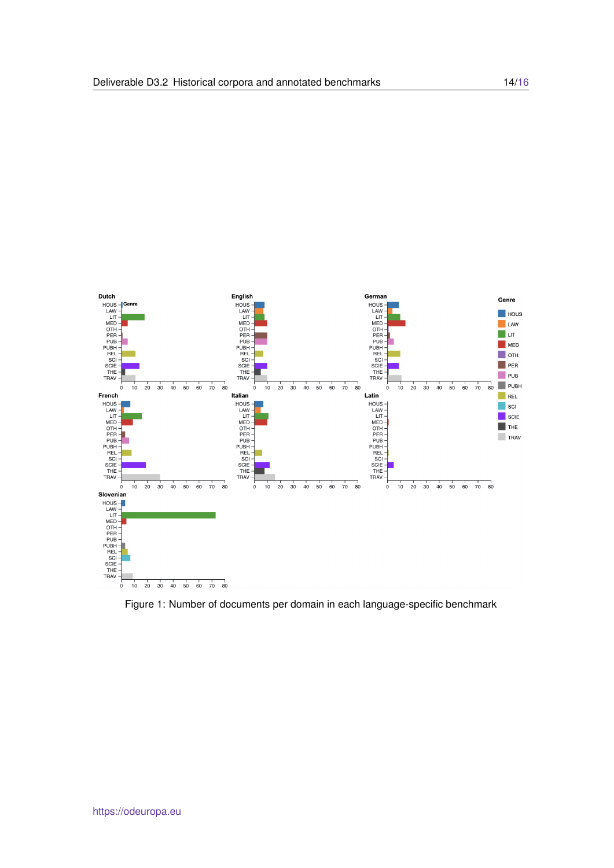<span id="page-13-0"></span>

Figure 1: Number of documents per domain in each language-specific benchmark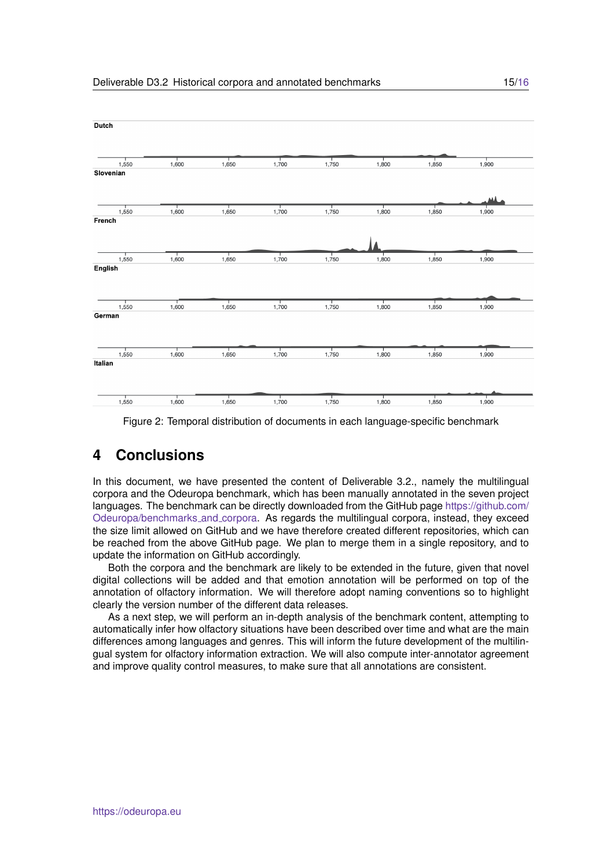<span id="page-14-1"></span>

Figure 2: Temporal distribution of documents in each language-specific benchmark

## <span id="page-14-0"></span>**4 Conclusions**

In this document, we have presented the content of Deliverable 3.2., namely the multilingual corpora and the Odeuropa benchmark, which has been manually annotated in the seven project languages. The benchmark can be directly downloaded from the GitHub page [https://github.com/](https://github.com/Odeuropa/benchmarks_and_corpora) [Odeuropa/benchmarks](https://github.com/Odeuropa/benchmarks_and_corpora) and corpora. As regards the multilingual corpora, instead, they exceed the size limit allowed on GitHub and we have therefore created different repositories, which can be reached from the above GitHub page. We plan to merge them in a single repository, and to update the information on GitHub accordingly.

Both the corpora and the benchmark are likely to be extended in the future, given that novel digital collections will be added and that emotion annotation will be performed on top of the annotation of olfactory information. We will therefore adopt naming conventions so to highlight clearly the version number of the different data releases.

As a next step, we will perform an in-depth analysis of the benchmark content, attempting to automatically infer how olfactory situations have been described over time and what are the main differences among languages and genres. This will inform the future development of the multilingual system for olfactory information extraction. We will also compute inter-annotator agreement and improve quality control measures, to make sure that all annotations are consistent.